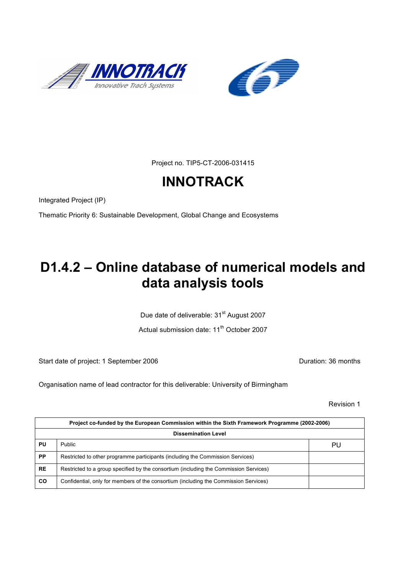



Project no. TIP5-CT-2006-031415

# **INNOTRACK**

Integrated Project (IP)

Thematic Priority 6: Sustainable Development, Global Change and Ecosystems

## **D1.4.2 – Online database of numerical models and data analysis tools**

Due date of deliverable: 31<sup>st</sup> August 2007

Actual submission date: 11<sup>th</sup> October 2007

Start date of project: 1 September 2006 **Duration: 36 months** 

Organisation name of lead contractor for this deliverable: University of Birmingham

Revision 1

| Project co-funded by the European Commission within the Sixth Framework Programme (2002-2006) |                                                                                       |    |  |  |
|-----------------------------------------------------------------------------------------------|---------------------------------------------------------------------------------------|----|--|--|
| <b>Dissemination Level</b>                                                                    |                                                                                       |    |  |  |
| PU                                                                                            | Public                                                                                | PU |  |  |
| <b>PP</b>                                                                                     | Restricted to other programme participants (including the Commission Services)        |    |  |  |
| <b>RE</b>                                                                                     | Restricted to a group specified by the consortium (including the Commission Services) |    |  |  |
| CO                                                                                            | Confidential, only for members of the consortium (including the Commission Services)  |    |  |  |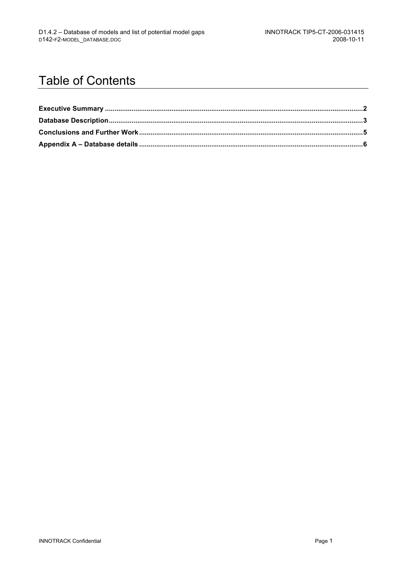### Table of Contents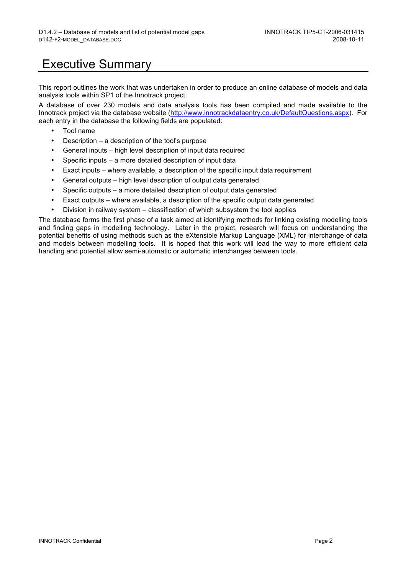### Executive Summary

This report outlines the work that was undertaken in order to produce an online database of models and data analysis tools within SP1 of the Innotrack project.

A database of over 230 models and data analysis tools has been compiled and made available to the Innotrack project via the database website (http://www.innotrackdataentry.co.uk/DefaultQuestions.aspx). For each entry in the database the following fields are populated:

- Tool name
- Description a description of the tool's purpose
- General inputs high level description of input data required
- Specific inputs a more detailed description of input data
- Exact inputs where available, a description of the specific input data requirement
- General outputs high level description of output data generated
- Specific outputs a more detailed description of output data generated
- Exact outputs where available, a description of the specific output data generated
- Division in railway system classification of which subsystem the tool applies

The database forms the first phase of a task aimed at identifying methods for linking existing modelling tools and finding gaps in modelling technology. Later in the project, research will focus on understanding the potential benefits of using methods such as the eXtensible Markup Language (XML) for interchange of data and models between modelling tools. It is hoped that this work will lead the way to more efficient data handling and potential allow semi-automatic or automatic interchanges between tools.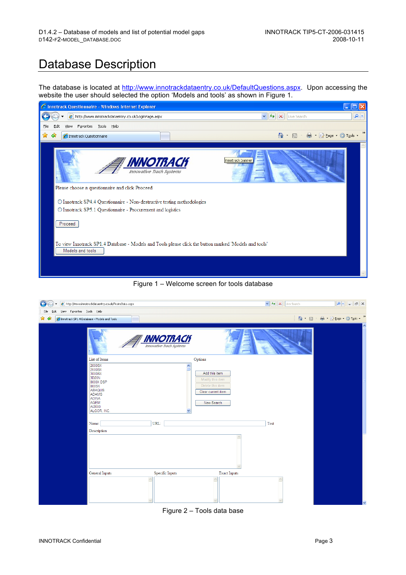#### Database Description

The database is located at http://www.innotrackdataentry.co.uk/DefaultQuestions.aspx. Upon accessing the website the user should selected the option 'Models and tools' as shown in Figure 1.

| C Innotrack Questionnaire - Windows Internet Explorer                                                                     | a a                                                                 |
|---------------------------------------------------------------------------------------------------------------------------|---------------------------------------------------------------------|
| e http://www.innotrackdataentry.co.uk/LoginPage.aspx                                                                      | $ \mathbf{t_+} $<br>- م<br>$\vee$<br>$\vert x \vert$<br>Live Search |
| Favorites Tools Help<br>Eile<br>View<br>Edit                                                                              |                                                                     |
| ✿<br>♣<br>Innotrack Questionnaire                                                                                         | $\rightarrow$<br>合<br>■ · ② Page · ① Tools ·<br>$\star$             |
|                                                                                                                           |                                                                     |
| INNOTRACK<br>Innovative Trach Systems                                                                                     | innotrack banner                                                    |
| Please choose a questionnaire and click Proceed                                                                           |                                                                     |
| O Innotrack SP4.4 Questionnaire - Non-destructive testing methodologies                                                   |                                                                     |
| O Innotrack SP5.1 Questionnaire - Procurement and logistics                                                               |                                                                     |
| Proceed                                                                                                                   |                                                                     |
| To view Innotrack SP1.4 Database - Models and Tools please click the button marked 'Models and tools'<br>Models and tools |                                                                     |
|                                                                                                                           |                                                                     |



| http://www.innotrackdataentry.co.uk/TrainsData.aspx<br>$\leftarrow$                                                                                                                                                                                                               | $\left\  \mathbf{v} \right\ $ $\left\{ \mathbf{v} \right\}$ $\left\  \mathbf{x} \right\ $ Live Search | $  \bullet  $<br>$\Box$ $\times$<br>$\sim$ |
|-----------------------------------------------------------------------------------------------------------------------------------------------------------------------------------------------------------------------------------------------------------------------------------|-------------------------------------------------------------------------------------------------------|--------------------------------------------|
| View Favorites Tools Help<br>Eile<br>Edit                                                                                                                                                                                                                                         |                                                                                                       |                                            |
| ✿<br>$\triangle$<br>Innotrack SP1.4 Database - Models and Tools                                                                                                                                                                                                                   |                                                                                                       | $\gg$<br>合 · 同 · 曲 · 2 Page · O Tools ·    |
| <b>INNOTRACK</b>                                                                                                                                                                                                                                                                  |                                                                                                       | ۸                                          |
| List of Items<br>Options                                                                                                                                                                                                                                                          |                                                                                                       |                                            |
| 2000SX<br>$\hat{\phantom{a}}$<br>2500SX<br>Add this item<br>3000SX<br>3D20N<br>Modify this item<br>8000X DSP<br>Delete this item<br>800SX<br>ABAQUS<br>Clear current item<br>ADAMS<br><b>ADINA</b><br>AGEM<br>New Search<br>AI2000<br>ALGOR. INC.<br>URL:<br>Name:<br>Description | Test                                                                                                  |                                            |
| Specific Inputs<br>Exact Inputs<br>General Inputs                                                                                                                                                                                                                                 |                                                                                                       |                                            |
| $\wedge$                                                                                                                                                                                                                                                                          | í.                                                                                                    | v                                          |

Figure 2 – Tools data base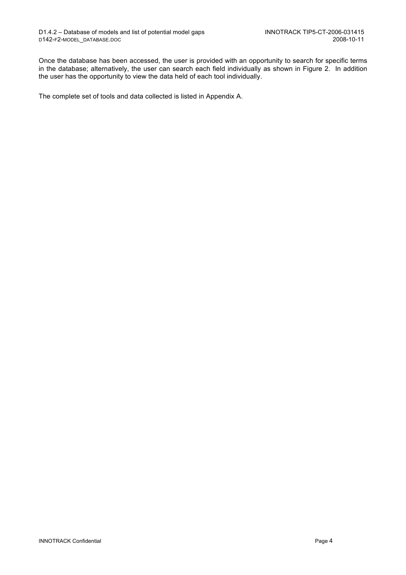Once the database has been accessed, the user is provided with an opportunity to search for specific terms in the database; alternatively, the user can search each field individually as shown in Figure 2. In addition the user has the opportunity to view the data held of each tool individually.

The complete set of tools and data collected is listed in Appendix A.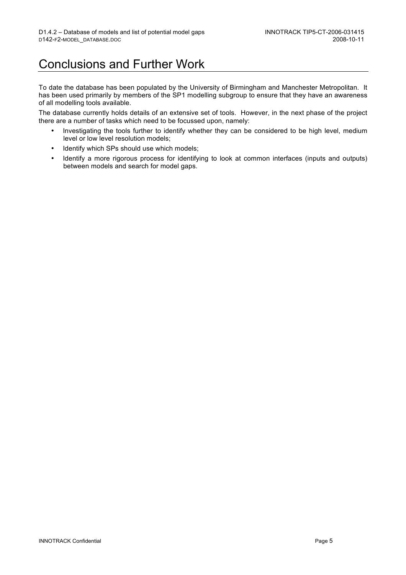#### Conclusions and Further Work

To date the database has been populated by the University of Birmingham and Manchester Metropolitan. It has been used primarily by members of the SP1 modelling subgroup to ensure that they have an awareness of all modelling tools available.

The database currently holds details of an extensive set of tools. However, in the next phase of the project there are a number of tasks which need to be focussed upon, namely:

- Investigating the tools further to identify whether they can be considered to be high level, medium level or low level resolution models;
- Identify which SPs should use which models;
- Identify a more rigorous process for identifying to look at common interfaces (inputs and outputs) between models and search for model gaps.